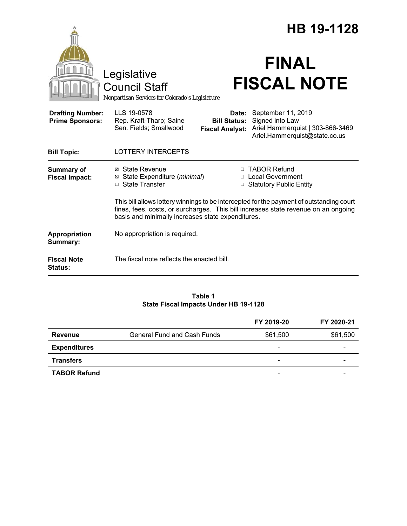|                                                   |                                                                                                                                                                                                                                     |                                                        | HB 19-1128                                                                                                 |
|---------------------------------------------------|-------------------------------------------------------------------------------------------------------------------------------------------------------------------------------------------------------------------------------------|--------------------------------------------------------|------------------------------------------------------------------------------------------------------------|
|                                                   | Legislative<br><b>Council Staff</b><br>Nonpartisan Services for Colorado's Legislature                                                                                                                                              |                                                        | <b>FINAL</b><br><b>FISCAL NOTE</b>                                                                         |
| <b>Drafting Number:</b><br><b>Prime Sponsors:</b> | LLS 19-0578<br>Rep. Kraft-Tharp; Saine<br>Sen. Fields; Smallwood                                                                                                                                                                    | Date:<br><b>Bill Status:</b><br><b>Fiscal Analyst:</b> | September 11, 2019<br>Signed into Law<br>Ariel Hammerquist   303-866-3469<br>Ariel.Hammerquist@state.co.us |
| <b>Bill Topic:</b>                                | <b>LOTTERY INTERCEPTS</b>                                                                                                                                                                                                           |                                                        |                                                                                                            |
| <b>Summary of</b><br><b>Fiscal Impact:</b>        | ⊠ State Revenue<br>⊠ State Expenditure (minimal)<br>$\Box$ State Transfer                                                                                                                                                           | П                                                      | <b>TABOR Refund</b><br>□ Local Government<br>□ Statutory Public Entity                                     |
|                                                   | This bill allows lottery winnings to be intercepted for the payment of outstanding court<br>fines, fees, costs, or surcharges. This bill increases state revenue on an ongoing<br>basis and minimally increases state expenditures. |                                                        |                                                                                                            |
| Appropriation<br>Summary:                         | No appropriation is required.                                                                                                                                                                                                       |                                                        |                                                                                                            |
| <b>Fiscal Note</b><br>Status:                     | The fiscal note reflects the enacted bill.                                                                                                                                                                                          |                                                        |                                                                                                            |

#### **Table 1 State Fiscal Impacts Under HB 19-1128**

|                     |                                    | FY 2019-20                   | FY 2020-21 |
|---------------------|------------------------------------|------------------------------|------------|
| <b>Revenue</b>      | <b>General Fund and Cash Funds</b> | \$61,500                     | \$61,500   |
| <b>Expenditures</b> |                                    | $\overline{\phantom{0}}$     |            |
| <b>Transfers</b>    |                                    | $\qquad \qquad \blacksquare$ |            |
| <b>TABOR Refund</b> |                                    | -                            |            |